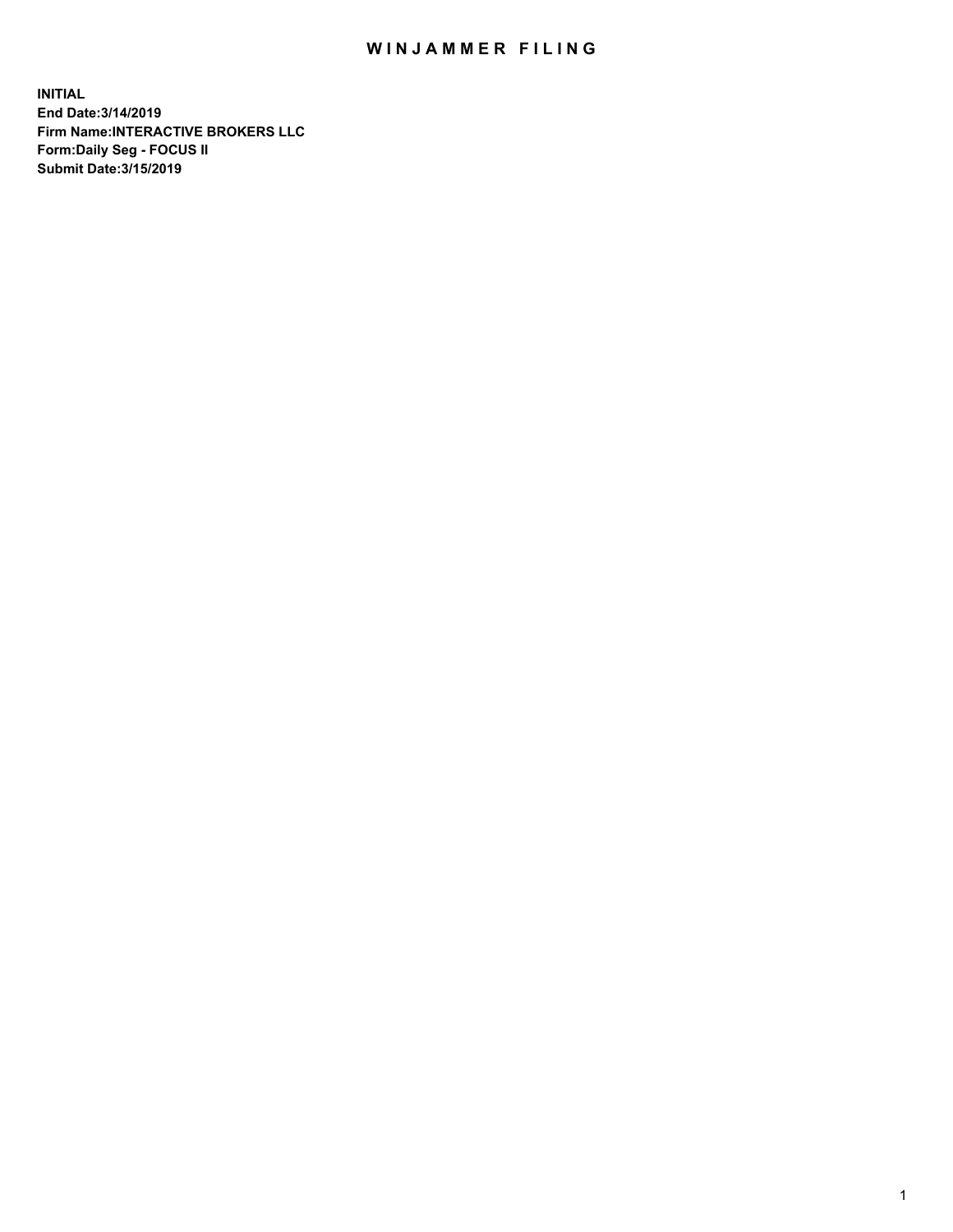## WIN JAMMER FILING

**INITIAL End Date:3/14/2019 Firm Name:INTERACTIVE BROKERS LLC Form:Daily Seg - FOCUS II Submit Date:3/15/2019**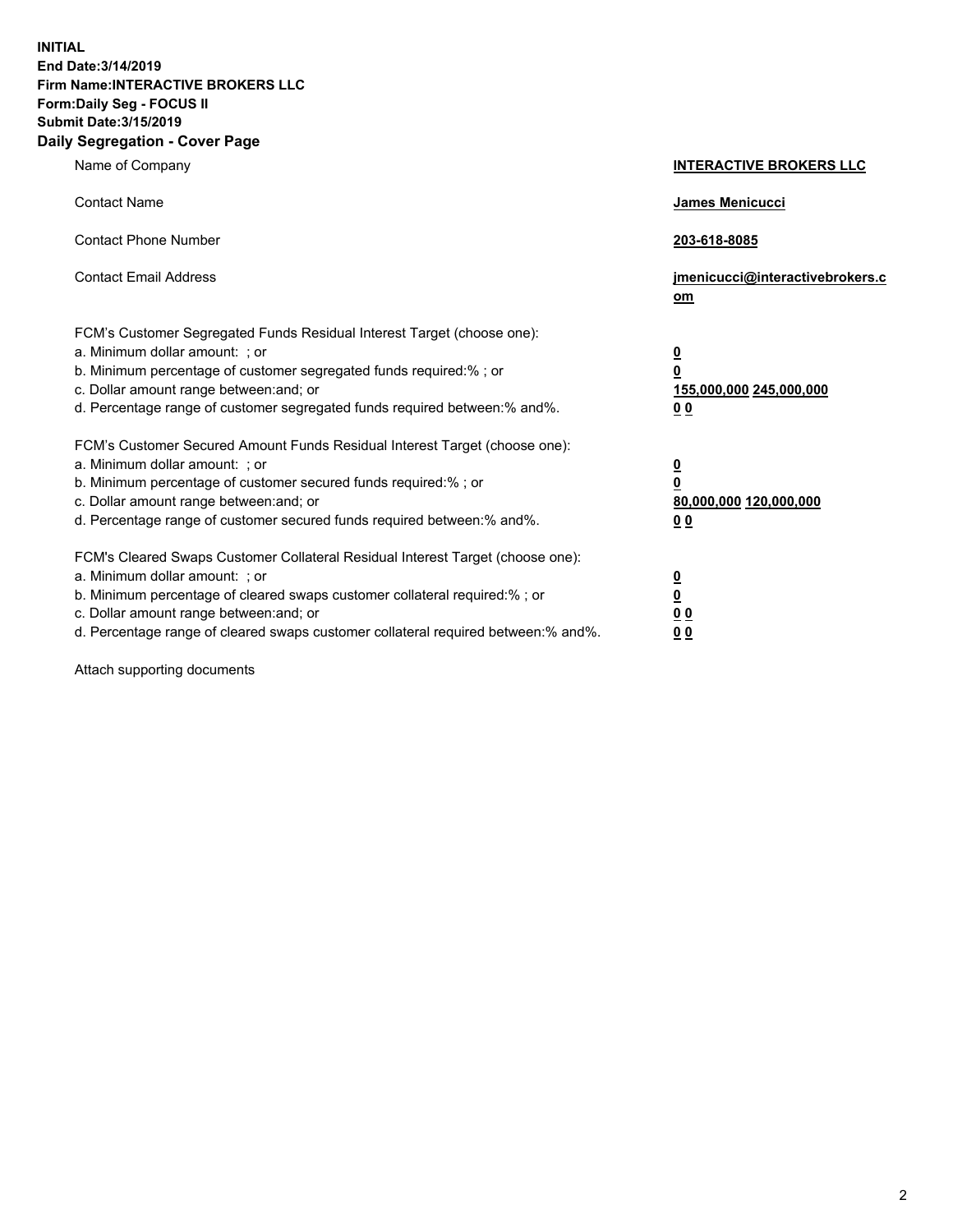**INITIAL End Date:3/14/2019 Firm Name:INTERACTIVE BROKERS LLC Form:Daily Seg - FOCUS II Submit Date:3/15/2019 Daily Segregation - Cover Page**

| Name of Company                                                                                                                                                                                                                                                                                                                | <b>INTERACTIVE BROKERS LLC</b>                                                                  |
|--------------------------------------------------------------------------------------------------------------------------------------------------------------------------------------------------------------------------------------------------------------------------------------------------------------------------------|-------------------------------------------------------------------------------------------------|
| <b>Contact Name</b>                                                                                                                                                                                                                                                                                                            | James Menicucci                                                                                 |
| <b>Contact Phone Number</b>                                                                                                                                                                                                                                                                                                    | 203-618-8085                                                                                    |
| <b>Contact Email Address</b>                                                                                                                                                                                                                                                                                                   | jmenicucci@interactivebrokers.c<br>om                                                           |
| FCM's Customer Segregated Funds Residual Interest Target (choose one):<br>a. Minimum dollar amount: ; or<br>b. Minimum percentage of customer segregated funds required:% ; or<br>c. Dollar amount range between: and; or<br>d. Percentage range of customer segregated funds required between:% and%.                         | $\overline{\mathbf{0}}$<br>$\overline{\mathbf{0}}$<br>155,000,000 245,000,000<br>0 <sub>0</sub> |
| FCM's Customer Secured Amount Funds Residual Interest Target (choose one):<br>a. Minimum dollar amount: ; or<br>b. Minimum percentage of customer secured funds required:% ; or<br>c. Dollar amount range between: and; or<br>d. Percentage range of customer secured funds required between:% and%.                           | $\overline{\mathbf{0}}$<br>0<br>80,000,000 120,000,000<br>0 <sub>0</sub>                        |
| FCM's Cleared Swaps Customer Collateral Residual Interest Target (choose one):<br>a. Minimum dollar amount: ; or<br>b. Minimum percentage of cleared swaps customer collateral required:% ; or<br>c. Dollar amount range between: and; or<br>d. Percentage range of cleared swaps customer collateral required between:% and%. | $\overline{\mathbf{0}}$<br><u>0</u><br>$\underline{0}$ $\underline{0}$<br>00                    |

Attach supporting documents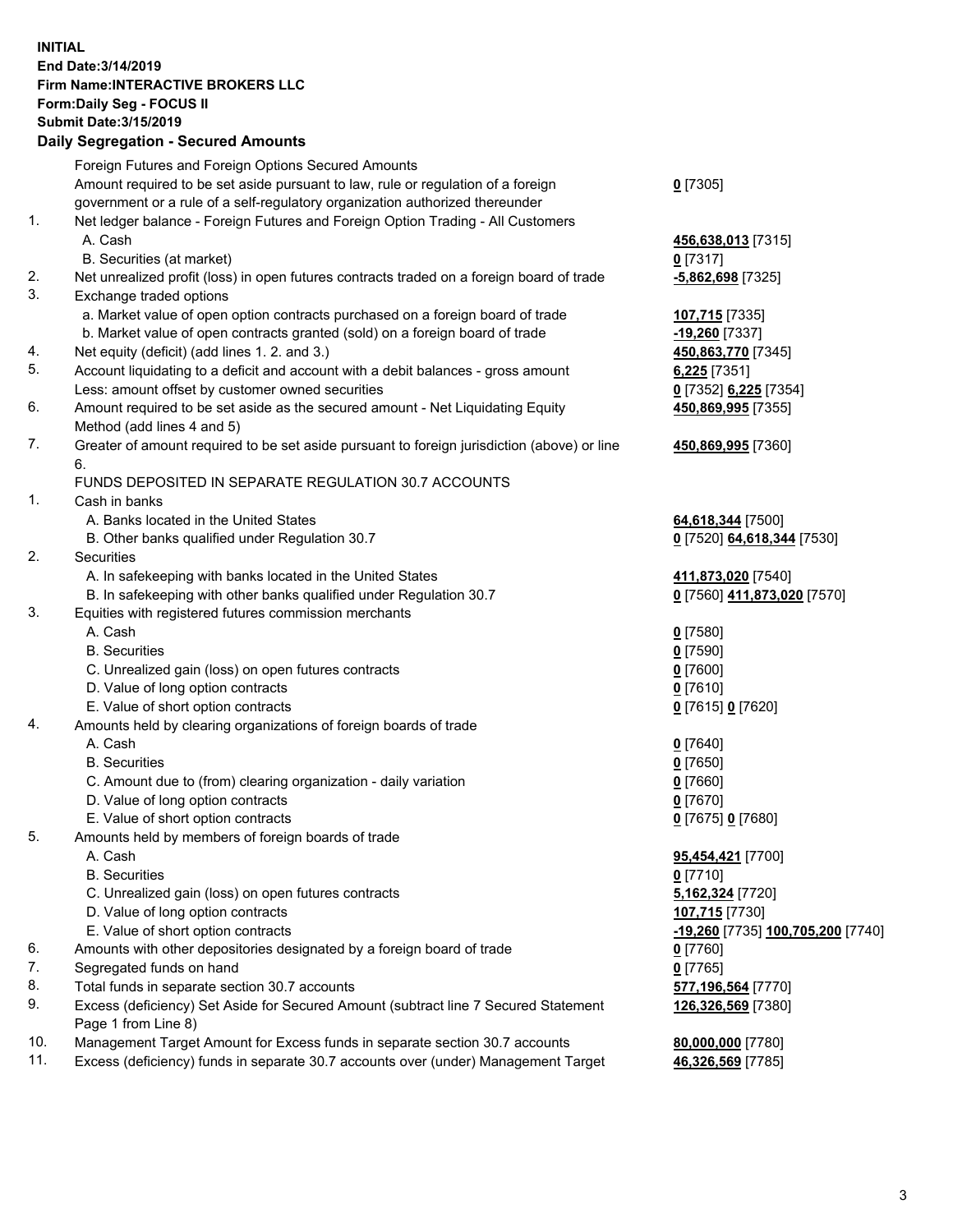## **INITIAL End Date:3/14/2019 Firm Name:INTERACTIVE BROKERS LLC Form:Daily Seg - FOCUS II Submit Date:3/15/2019 Daily Segregation - Secured Amounts**

|                | Daily Segregation - Secured Amounts                                                         |                                   |
|----------------|---------------------------------------------------------------------------------------------|-----------------------------------|
|                | Foreign Futures and Foreign Options Secured Amounts                                         |                                   |
|                | Amount required to be set aside pursuant to law, rule or regulation of a foreign            | $0$ [7305]                        |
|                | government or a rule of a self-regulatory organization authorized thereunder                |                                   |
| $\mathbf{1}$ . | Net ledger balance - Foreign Futures and Foreign Option Trading - All Customers             |                                   |
|                | A. Cash                                                                                     | 456,638,013 [7315]                |
|                | B. Securities (at market)                                                                   | $0$ [7317]                        |
| 2.             | Net unrealized profit (loss) in open futures contracts traded on a foreign board of trade   | -5,862,698 [7325]                 |
| 3.             | Exchange traded options                                                                     |                                   |
|                | a. Market value of open option contracts purchased on a foreign board of trade              | 107,715 [7335]                    |
|                | b. Market value of open contracts granted (sold) on a foreign board of trade                | -19,260 [7337]                    |
| 4.             | Net equity (deficit) (add lines 1. 2. and 3.)                                               | 450,863,770 [7345]                |
| 5.             | Account liquidating to a deficit and account with a debit balances - gross amount           | $6,225$ [7351]                    |
|                | Less: amount offset by customer owned securities                                            | 0 [7352] 6,225 [7354]             |
| 6.             | Amount required to be set aside as the secured amount - Net Liquidating Equity              | 450,869,995 [7355]                |
|                | Method (add lines 4 and 5)                                                                  |                                   |
| 7.             | Greater of amount required to be set aside pursuant to foreign jurisdiction (above) or line | 450,869,995 [7360]                |
|                | 6.<br>FUNDS DEPOSITED IN SEPARATE REGULATION 30.7 ACCOUNTS                                  |                                   |
| 1.             | Cash in banks                                                                               |                                   |
|                | A. Banks located in the United States                                                       |                                   |
|                |                                                                                             | 64,618,344 [7500]                 |
| 2.             | B. Other banks qualified under Regulation 30.7<br><b>Securities</b>                         | 0 [7520] 64,618,344 [7530]        |
|                | A. In safekeeping with banks located in the United States                                   | 411,873,020 [7540]                |
|                | B. In safekeeping with other banks qualified under Regulation 30.7                          | 0 [7560] 411,873,020 [7570]       |
| 3.             | Equities with registered futures commission merchants                                       |                                   |
|                | A. Cash                                                                                     | $0$ [7580]                        |
|                | <b>B.</b> Securities                                                                        | $0$ [7590]                        |
|                | C. Unrealized gain (loss) on open futures contracts                                         | $0$ [7600]                        |
|                | D. Value of long option contracts                                                           | $0$ [7610]                        |
|                | E. Value of short option contracts                                                          | 0 [7615] 0 [7620]                 |
| 4.             | Amounts held by clearing organizations of foreign boards of trade                           |                                   |
|                | A. Cash                                                                                     | $0$ [7640]                        |
|                | <b>B.</b> Securities                                                                        | $0$ [7650]                        |
|                | C. Amount due to (from) clearing organization - daily variation                             | $0$ [7660]                        |
|                | D. Value of long option contracts                                                           | $0$ [7670]                        |
|                | E. Value of short option contracts                                                          | 0 [7675] 0 [7680]                 |
| 5.             | Amounts held by members of foreign boards of trade                                          |                                   |
|                | A. Cash                                                                                     | 95,454,421 [7700]                 |
|                | <b>B.</b> Securities                                                                        | $0$ [7710]                        |
|                | C. Unrealized gain (loss) on open futures contracts                                         | 5,162,324 [7720]                  |
|                | D. Value of long option contracts                                                           | 107,715 [7730]                    |
|                | E. Value of short option contracts                                                          | -19,260 [7735] 100,705,200 [7740] |
| 6.             | Amounts with other depositories designated by a foreign board of trade                      | 0 [7760]                          |
| 7.             | Segregated funds on hand                                                                    | $0$ [7765]                        |
| 8.             | Total funds in separate section 30.7 accounts                                               | 577,196,564 [7770]                |
| 9.             | Excess (deficiency) Set Aside for Secured Amount (subtract line 7 Secured Statement         | 126,326,569 [7380]                |
|                | Page 1 from Line 8)                                                                         |                                   |
| 10.            | Management Target Amount for Excess funds in separate section 30.7 accounts                 | 80,000,000 [7780]                 |
| 11.            | Excess (deficiency) funds in separate 30.7 accounts over (under) Management Target          | 46,326,569 [7785]                 |
|                |                                                                                             |                                   |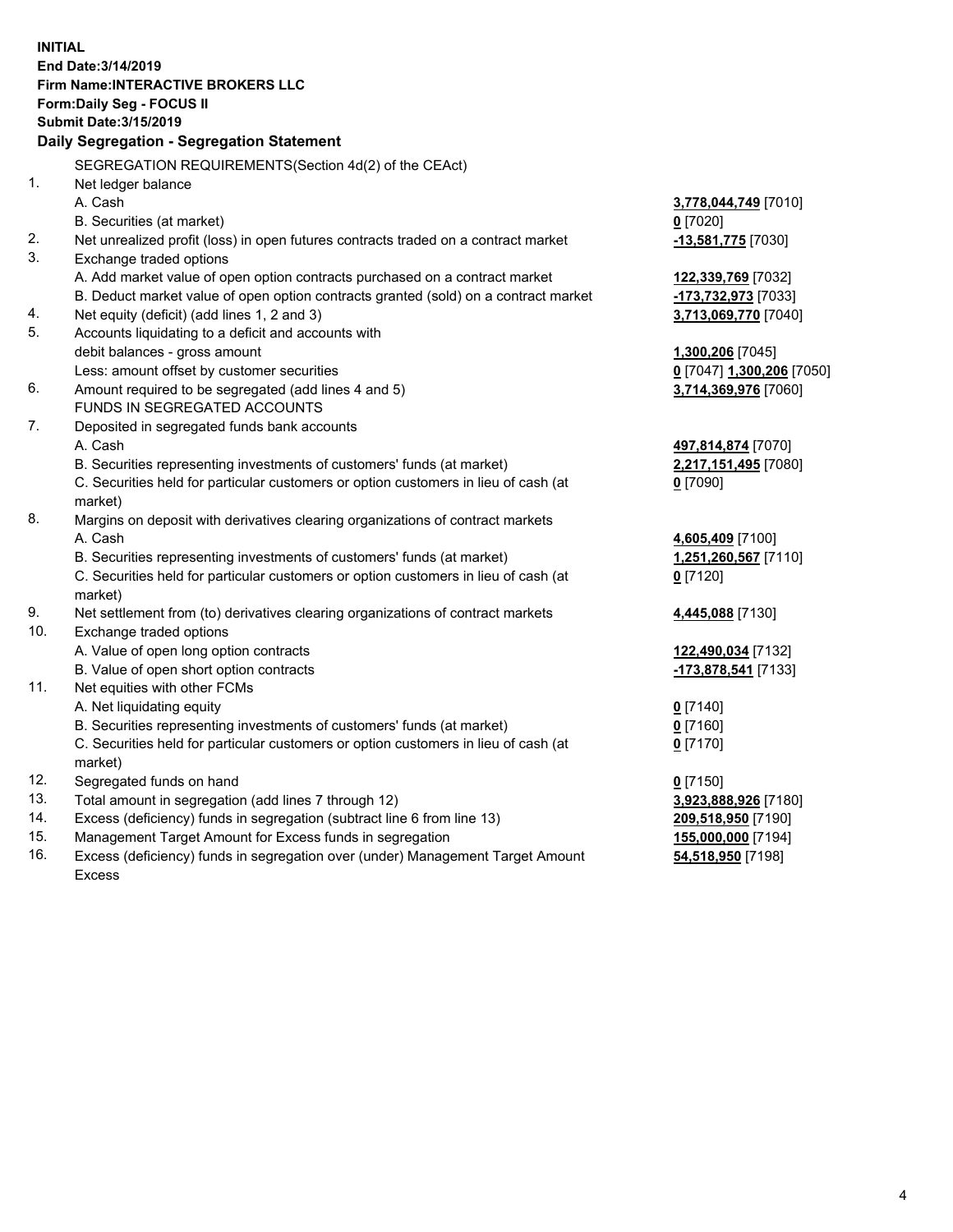**INITIAL End Date:3/14/2019 Firm Name:INTERACTIVE BROKERS LLC Form:Daily Seg - FOCUS II Submit Date:3/15/2019 Daily Segregation - Segregation Statement** SEGREGATION REQUIREMENTS(Section 4d(2) of the CEAct) 1. Net ledger balance A. Cash **3,778,044,749** [7010] B. Securities (at market) **0** [7020] 2. Net unrealized profit (loss) in open futures contracts traded on a contract market **-13,581,775** [7030] 3. Exchange traded options A. Add market value of open option contracts purchased on a contract market **122,339,769** [7032] B. Deduct market value of open option contracts granted (sold) on a contract market **-173,732,973** [7033] 4. Net equity (deficit) (add lines 1, 2 and 3) **3,713,069,770** [7040] 5. Accounts liquidating to a deficit and accounts with debit balances - gross amount **1,300,206** [7045] Less: amount offset by customer securities **0** [7047] **1,300,206** [7050] 6. Amount required to be segregated (add lines 4 and 5) **3,714,369,976** [7060] FUNDS IN SEGREGATED ACCOUNTS 7. Deposited in segregated funds bank accounts A. Cash **497,814,874** [7070] B. Securities representing investments of customers' funds (at market) **2,217,151,495** [7080] C. Securities held for particular customers or option customers in lieu of cash (at market) **0** [7090] 8. Margins on deposit with derivatives clearing organizations of contract markets A. Cash **4,605,409** [7100] B. Securities representing investments of customers' funds (at market) **1,251,260,567** [7110] C. Securities held for particular customers or option customers in lieu of cash (at market) **0** [7120] 9. Net settlement from (to) derivatives clearing organizations of contract markets **4,445,088** [7130] 10. Exchange traded options A. Value of open long option contracts **122,490,034** [7132] B. Value of open short option contracts **-173,878,541** [7133] 11. Net equities with other FCMs A. Net liquidating equity **0** [7140] B. Securities representing investments of customers' funds (at market) **0** [7160] C. Securities held for particular customers or option customers in lieu of cash (at market) **0** [7170] 12. Segregated funds on hand **0** [7150] 13. Total amount in segregation (add lines 7 through 12) **3,923,888,926** [7180] 14. Excess (deficiency) funds in segregation (subtract line 6 from line 13) **209,518,950** [7190] 15. Management Target Amount for Excess funds in segregation **155,000,000** [7194]

16. Excess (deficiency) funds in segregation over (under) Management Target Amount Excess

**54,518,950** [7198]